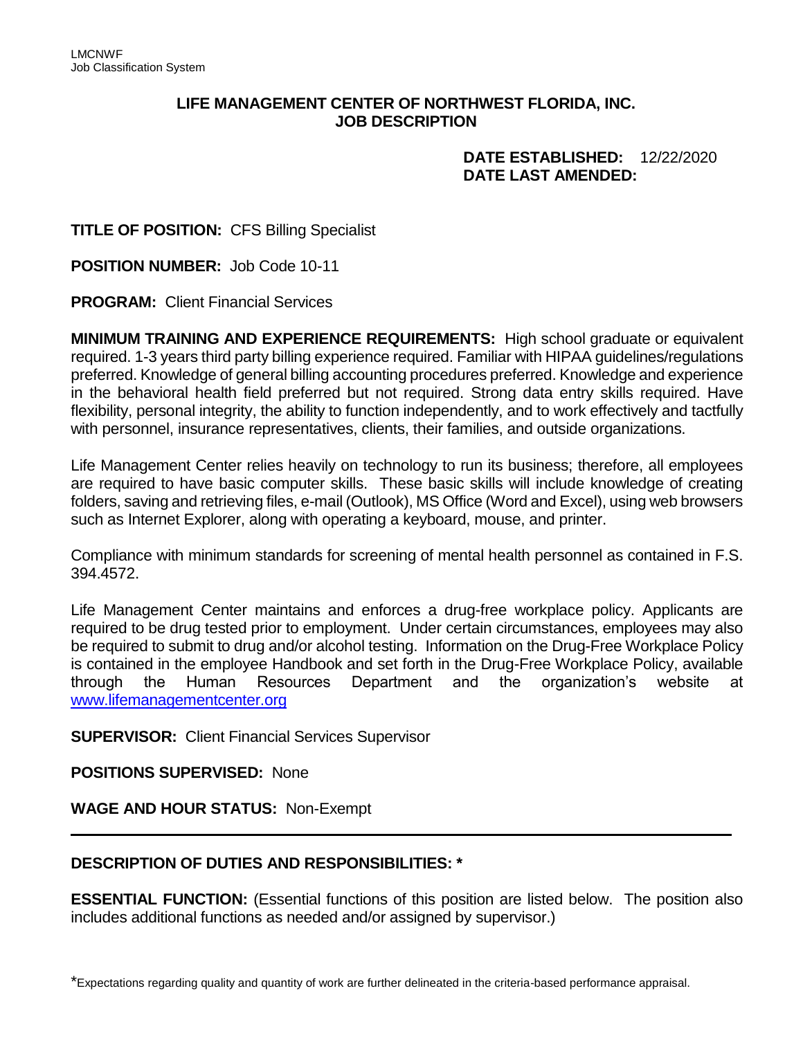## **LIFE MANAGEMENT CENTER OF NORTHWEST FLORIDA, INC. JOB DESCRIPTION**

## **DATE ESTABLISHED:** 12/22/2020  **DATE LAST AMENDED:**

**TITLE OF POSITION:** CFS Billing Specialist

**POSITION NUMBER:** Job Code 10-11

**PROGRAM:** Client Financial Services

**MINIMUM TRAINING AND EXPERIENCE REQUIREMENTS:** High school graduate or equivalent required. 1-3 years third party billing experience required. Familiar with HIPAA guidelines/regulations preferred. Knowledge of general billing accounting procedures preferred. Knowledge and experience in the behavioral health field preferred but not required. Strong data entry skills required. Have flexibility, personal integrity, the ability to function independently, and to work effectively and tactfully with personnel, insurance representatives, clients, their families, and outside organizations.

Life Management Center relies heavily on technology to run its business; therefore, all employees are required to have basic computer skills. These basic skills will include knowledge of creating folders, saving and retrieving files, e-mail (Outlook), MS Office (Word and Excel), using web browsers such as Internet Explorer, along with operating a keyboard, mouse, and printer.

Compliance with minimum standards for screening of mental health personnel as contained in F.S. 394.4572.

Life Management Center maintains and enforces a drug-free workplace policy. Applicants are required to be drug tested prior to employment. Under certain circumstances, employees may also be required to submit to drug and/or alcohol testing. Information on the Drug-Free Workplace Policy is contained in the employee Handbook and set forth in the Drug-Free Workplace Policy, available through the Human Resources Department and the organization's website at [www.lifemanagementcenter.org](http://www.lifemanagementcenter.org/)

**SUPERVISOR:** Client Financial Services Supervisor

**POSITIONS SUPERVISED:** None

**WAGE AND HOUR STATUS:** Non-Exempt

## **DESCRIPTION OF DUTIES AND RESPONSIBILITIES: \***

**ESSENTIAL FUNCTION:** (Essential functions of this position are listed below. The position also includes additional functions as needed and/or assigned by supervisor.)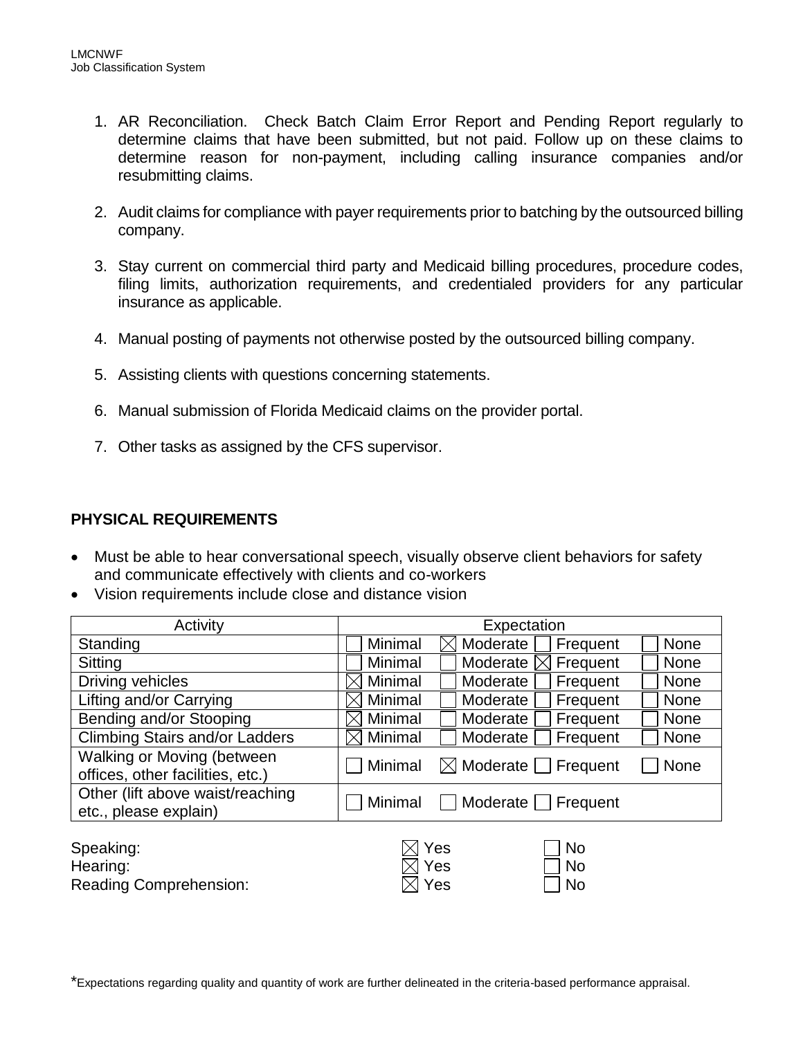- 1. AR Reconciliation. Check Batch Claim Error Report and Pending Report regularly to determine claims that have been submitted, but not paid. Follow up on these claims to determine reason for non-payment, including calling insurance companies and/or resubmitting claims.
- 2. Audit claims for compliance with payer requirements prior to batching by the outsourced billing company.
- 3. Stay current on commercial third party and Medicaid billing procedures, procedure codes, filing limits, authorization requirements, and credentialed providers for any particular insurance as applicable.
- 4. Manual posting of payments not otherwise posted by the outsourced billing company.
- 5. Assisting clients with questions concerning statements.
- 6. Manual submission of Florida Medicaid claims on the provider portal.
- 7. Other tasks as assigned by the CFS supervisor.

## **PHYSICAL REQUIREMENTS**

- Must be able to hear conversational speech, visually observe client behaviors for safety and communicate effectively with clients and co-workers
- Vision requirements include close and distance vision

| Activity                                                       | Expectation                                              |  |  |  |
|----------------------------------------------------------------|----------------------------------------------------------|--|--|--|
| Standing                                                       | Minimal<br>Moderate<br><b>None</b><br>Frequent<br>IXI    |  |  |  |
| Sitting                                                        | Minimal<br>Moderate [<br>Frequent<br><b>None</b>         |  |  |  |
| Driving vehicles                                               | Minimal<br>Moderate<br>Frequent<br><b>None</b>           |  |  |  |
| Lifting and/or Carrying                                        | Minimal<br>Frequent<br><b>None</b><br>Moderate           |  |  |  |
| Bending and/or Stooping                                        | Minimal<br>Moderate<br>Frequent<br><b>None</b>           |  |  |  |
| <b>Climbing Stairs and/or Ladders</b>                          | Minimal<br>Frequent<br>Moderate<br>None                  |  |  |  |
| Walking or Moving (between<br>offices, other facilities, etc.) | $\boxtimes$ Moderate $\Box$ Frequent<br>Minimal<br>None  |  |  |  |
| Other (lift above waist/reaching<br>etc., please explain)      | Moderate Frequent<br>Minimal                             |  |  |  |
| Speaking:<br>Hearing:<br><b>Reading Comprehension:</b>         | Yes<br><b>No</b><br>Yes<br><b>No</b><br>Yes<br><b>No</b> |  |  |  |